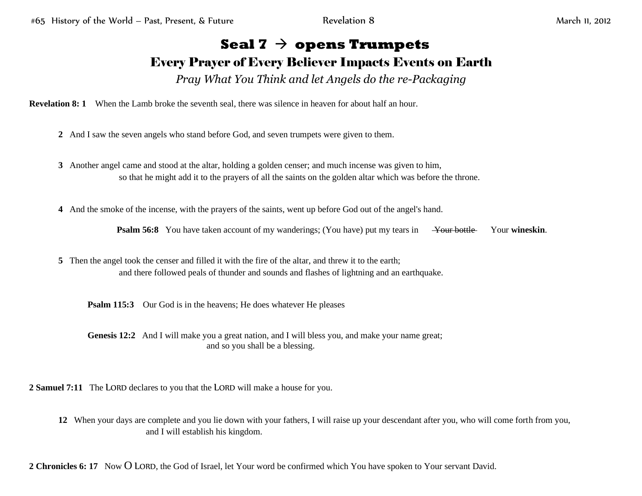## **Seal 7** → **opens Trumpets**

## Every Prayer of Every Believer Impacts Events on Earth

*Pray What You Think and let Angels do the re-Packaging*

**Revelation 8: 1** When the Lamb broke the seventh seal, there was silence in heaven for about half an hour.

- **2** And I saw the seven angels who stand before God, and seven trumpets were given to them.
- **3** Another angel came and stood at the altar, holding a golden censer; and much incense was given to him, so that he might add it to the prayers of all the saints on the golden altar which was before the throne.
- **4** And the smoke of the incense, with the prayers of the saints, went up before God out of the angel's hand.

**Psalm 56:8** You have taken account of my wanderings; (You have) put my tears in Your bottle Your wineskin.

**5** Then the angel took the censer and filled it with the fire of the altar, and threw it to the earth; and there followed peals of thunder and sounds and flashes of lightning and an earthquake.

**Psalm 115:3** Our God is in the heavens; He does whatever He pleases

**Genesis 12:2** And I will make you a great nation, and I will bless you, and make your name great; and so you shall be a blessing.

**2 Samuel 7:11** The LORD declares to you that the LORD will make a house for you.

**12** When your days are complete and you lie down with your fathers, I will raise up your descendant after you, who will come forth from you, and I will establish his kingdom.

**2 Chronicles 6: 17** Now O LORD, the God of Israel, let Your word be confirmed which You have spoken to Your servant David.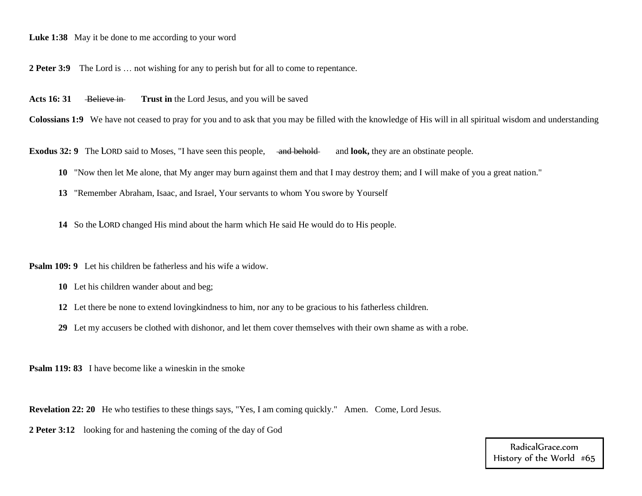## **Luke 1:38** May it be done to me according to your word

**2 Peter 3:9** The Lord is … not wishing for any to perish but for all to come to repentance.

Acts 16: 31 Believe in **Trust in** the Lord Jesus, and you will be saved

**Colossians 1:9** We have not ceased to pray for you and to ask that you may be filled with the knowledge of His will in all spiritual wisdom and understanding

**Exodus 32: 9** The LORD said to Moses, "I have seen this people, and behold and look, they are an obstinate people.

- **10** "Now then let Me alone, that My anger may burn against them and that I may destroy them; and I will make of you a great nation."
- **13** "Remember Abraham, Isaac, and Israel, Your servants to whom You swore by Yourself

**14** So the LORD changed His mind about the harm which He said He would do to His people.

**Psalm 109: 9** Let his children be fatherless and his wife a widow.

- **10** Let his children wander about and beg;
- **12** Let there be none to extend lovingkindness to him, nor any to be gracious to his fatherless children.
- **29** Let my accusers be clothed with dishonor, and let them cover themselves with their own shame as with a robe.

**Psalm 119: 83** I have become like a wineskin in the smoke

**Revelation 22: 20** He who testifies to these things says, "Yes, I am coming quickly." Amen. Come, Lord Jesus.

**2 Peter 3:12** looking for and hastening the coming of the day of God